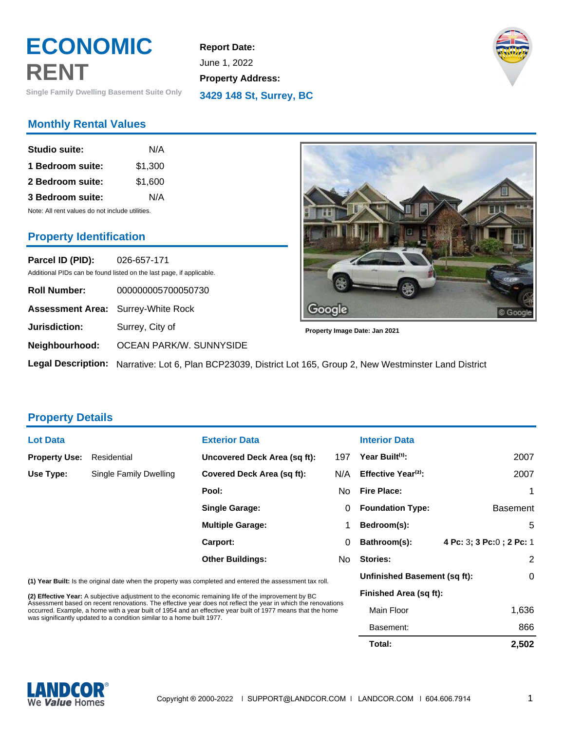# **ECONOMIC RENT**

**Single Family Dwelling Basement Suite Only**

# **Monthly Rental Values**

| <b>Studio suite:</b>                            | N/A     |  |  |  |
|-------------------------------------------------|---------|--|--|--|
| 1 Bedroom suite:                                | \$1,300 |  |  |  |
| 2 Bedroom suite:                                | \$1,600 |  |  |  |
| 3 Bedroom suite:                                | N/A     |  |  |  |
| Note: All rent values do not include utilities. |         |  |  |  |

**Property Identification**

**Parcel ID (PID):** 026-657-171 Additional PIDs can be found listed on the last page, if applicable.

| <b>Roll Number:</b>                       | 000000005700050730                                           |
|-------------------------------------------|--------------------------------------------------------------|
| <b>Assessment Area:</b> Surrey-White Rock |                                                              |
| Jurisdiction:                             | Surrey, City of                                              |
| Neighbourhood:                            | OCEAN PARK/W. SUNNYSIDE                                      |
|                                           | <b>Legal Description:</b> Narrative: Lot 6, Plan BCP23039, D |



**Property Image Date: Jan 2021**

**Legal Description:** Narrative: Lot 6, Plan BCP23039, District Lot 165, Group 2, New Westminster Land District

**Report Date:** June 1, 2022

**Property Address:**

**3429 148 St, Surrey, BC**

### **Property Details**

| <b>Lot Data</b>                                                                                                                                                                                                                                                                                        |                        | <b>Exterior Data</b>                                                                                |                              | <b>Interior Data</b>            |                           |
|--------------------------------------------------------------------------------------------------------------------------------------------------------------------------------------------------------------------------------------------------------------------------------------------------------|------------------------|-----------------------------------------------------------------------------------------------------|------------------------------|---------------------------------|---------------------------|
| <b>Property Use:</b>                                                                                                                                                                                                                                                                                   | Residential            | Uncovered Deck Area (sq ft):                                                                        | 197                          | Year Built <sup>(1)</sup> :     | 2007                      |
| Use Type:                                                                                                                                                                                                                                                                                              | Single Family Dwelling | <b>Covered Deck Area (sq ft):</b>                                                                   | N/A                          | Effective Year <sup>(2)</sup> : | 2007                      |
|                                                                                                                                                                                                                                                                                                        |                        | Pool:                                                                                               | No.                          | <b>Fire Place:</b>              |                           |
|                                                                                                                                                                                                                                                                                                        |                        | <b>Single Garage:</b>                                                                               | 0                            | <b>Foundation Type:</b>         | <b>Basement</b>           |
|                                                                                                                                                                                                                                                                                                        |                        | <b>Multiple Garage:</b>                                                                             |                              | Bedroom(s):                     | 5                         |
|                                                                                                                                                                                                                                                                                                        |                        | Carport:                                                                                            | 0                            | Bathroom(s):                    | 4 Pc: 3; 3 Pc: 0; 2 Pc: 1 |
|                                                                                                                                                                                                                                                                                                        |                        | <b>Other Buildings:</b>                                                                             | No.                          | <b>Stories:</b>                 | 2                         |
| (1) Year Built: Is the original date when the property was completed and entered the assessment tax roll.                                                                                                                                                                                              |                        |                                                                                                     | Unfinished Basement (sq ft): | 0                               |                           |
|                                                                                                                                                                                                                                                                                                        |                        | (2) Effective Year: A subjective adjustment to the economic remaining life of the improvement by BC |                              | Finished Area (sq ft):          |                           |
| Assessment based on recent renovations. The effective year does not reflect the year in which the renovations<br>occurred. Example, a home with a year built of 1954 and an effective year built of 1977 means that the home<br>was significantly updated to a condition similar to a home built 1977. |                        | Main Floor                                                                                          | 1,636                        |                                 |                           |
|                                                                                                                                                                                                                                                                                                        |                        |                                                                                                     | Basement:                    | 866                             |                           |



 **Total: 2,502**